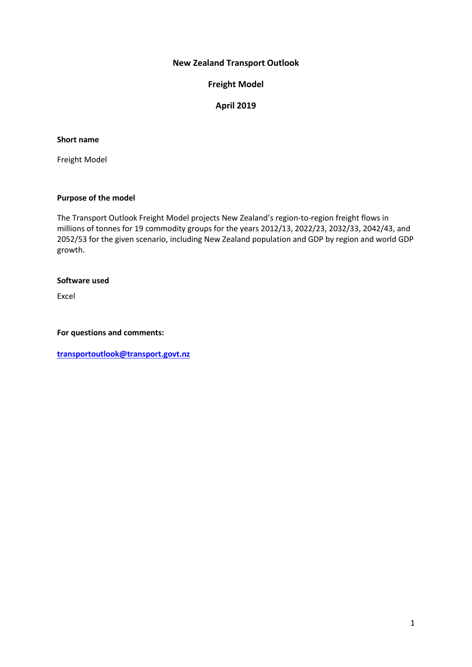# **New Zealand Transport Outlook**

**Freight Model**

# **April 2019**

### **Short name**

Freight Model

### **Purpose of the model**

The Transport Outlook Freight Model projects New Zealand's region-to-region freight flows in millions of tonnes for 19 commodity groups for the years 2012/13, 2022/23, 2032/33, 2042/43, and 2052/53 for the given scenario, including New Zealand population and GDP by region and world GDP growth.

#### **Software used**

Excel

**For questions and comments:** 

**[transportoutlook@transport.govt.nz](mailto:transportoutlook@transport.govt.nz)**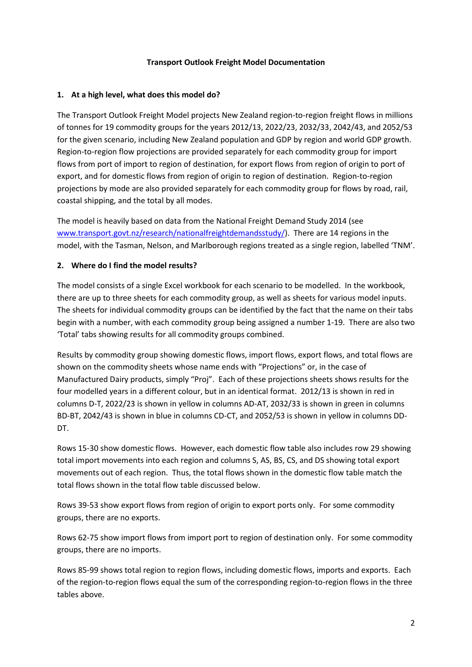## **Transport Outlook Freight Model Documentation**

## **1. At a high level, what does this model do?**

The Transport Outlook Freight Model projects New Zealand region-to-region freight flows in millions of tonnes for 19 commodity groups for the years 2012/13, 2022/23, 2032/33, 2042/43, and 2052/53 for the given scenario, including New Zealand population and GDP by region and world GDP growth. Region-to-region flow projections are provided separately for each commodity group for import flows from port of import to region of destination, for export flows from region of origin to port of export, and for domestic flows from region of origin to region of destination. Region-to-region projections by mode are also provided separately for each commodity group for flows by road, rail, coastal shipping, and the total by all modes.

The model is heavily based on data from the National Freight Demand Study 2014 (see [www.transport.govt.nz/research/nationalfreightdemandsstudy/\)](http://www.transport.govt.nz/research/nationalfreightdemandsstudy/). There are 14 regions in the model, with the Tasman, Nelson, and Marlborough regions treated as a single region, labelled 'TNM'.

## **2. Where do I find the model results?**

The model consists of a single Excel workbook for each scenario to be modelled. In the workbook, there are up to three sheets for each commodity group, as well as sheets for various model inputs. The sheets for individual commodity groups can be identified by the fact that the name on their tabs begin with a number, with each commodity group being assigned a number 1-19. There are also two 'Total' tabs showing results for all commodity groups combined.

Results by commodity group showing domestic flows, import flows, export flows, and total flows are shown on the commodity sheets whose name ends with "Projections" or, in the case of Manufactured Dairy products, simply "Proj". Each of these projections sheets shows results for the four modelled years in a different colour, but in an identical format. 2012/13 is shown in red in columns D-T, 2022/23 is shown in yellow in columns AD-AT, 2032/33 is shown in green in columns BD-BT, 2042/43 is shown in blue in columns CD-CT, and 2052/53 is shown in yellow in columns DD-DT.

Rows 15-30 show domestic flows. However, each domestic flow table also includes row 29 showing total import movements into each region and columns S, AS, BS, CS, and DS showing total export movements out of each region. Thus, the total flows shown in the domestic flow table match the total flows shown in the total flow table discussed below.

Rows 39-53 show export flows from region of origin to export ports only. For some commodity groups, there are no exports.

Rows 62-75 show import flows from import port to region of destination only. For some commodity groups, there are no imports.

Rows 85-99 shows total region to region flows, including domestic flows, imports and exports. Each of the region-to-region flows equal the sum of the corresponding region-to-region flows in the three tables above.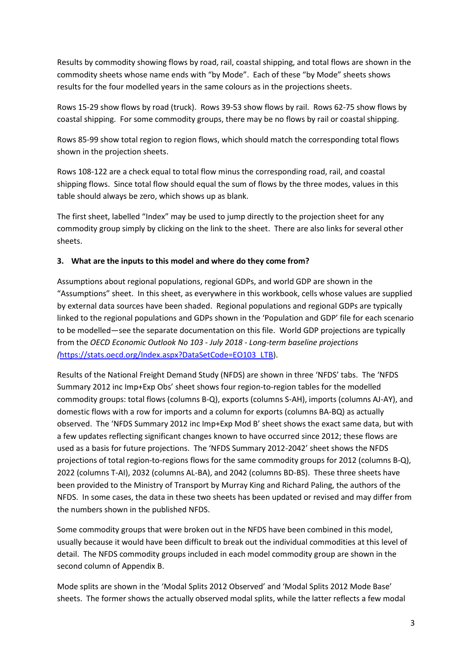Results by commodity showing flows by road, rail, coastal shipping, and total flows are shown in the commodity sheets whose name ends with "by Mode". Each of these "by Mode" sheets shows results for the four modelled years in the same colours as in the projections sheets.

Rows 15-29 show flows by road (truck). Rows 39-53 show flows by rail. Rows 62-75 show flows by coastal shipping. For some commodity groups, there may be no flows by rail or coastal shipping.

Rows 85-99 show total region to region flows, which should match the corresponding total flows shown in the projection sheets.

Rows 108-122 are a check equal to total flow minus the corresponding road, rail, and coastal shipping flows. Since total flow should equal the sum of flows by the three modes, values in this table should always be zero, which shows up as blank.

The first sheet, labelled "Index" may be used to jump directly to the projection sheet for any commodity group simply by clicking on the link to the sheet. There are also links for several other sheets.

# **3. What are the inputs to this model and where do they come from?**

Assumptions about regional populations, regional GDPs, and world GDP are shown in the "Assumptions" sheet. In this sheet, as everywhere in this workbook, cells whose values are supplied by external data sources have been shaded. Regional populations and regional GDPs are typically linked to the regional populations and GDPs shown in the 'Population and GDP' file for each scenario to be modelled—see the separate documentation on this file. World GDP projections are typically from the *OECD Economic Outlook No 103 - July 2018 - Long-term baseline projections (*[https://stats.oecd.org/Index.aspx?DataSetCode=EO103\\_LTB\)](https://stats.oecd.org/Index.aspx?DataSetCode=EO103_LTB).

Results of the National Freight Demand Study (NFDS) are shown in three 'NFDS' tabs. The 'NFDS Summary 2012 inc Imp+Exp Obs' sheet shows four region-to-region tables for the modelled commodity groups: total flows (columns B-Q), exports (columns S-AH), imports (columns AJ-AY), and domestic flows with a row for imports and a column for exports (columns BA-BQ) as actually observed. The 'NFDS Summary 2012 inc Imp+Exp Mod B' sheet shows the exact same data, but with a few updates reflecting significant changes known to have occurred since 2012; these flows are used as a basis for future projections. The 'NFDS Summary 2012-2042' sheet shows the NFDS projections of total region-to-regions flows for the same commodity groups for 2012 (columns B-Q), 2022 (columns T-AI), 2032 (columns AL-BA), and 2042 (columns BD-BS). These three sheets have been provided to the Ministry of Transport by Murray King and Richard Paling, the authors of the NFDS. In some cases, the data in these two sheets has been updated or revised and may differ from the numbers shown in the published NFDS.

Some commodity groups that were broken out in the NFDS have been combined in this model, usually because it would have been difficult to break out the individual commodities at this level of detail. The NFDS commodity groups included in each model commodity group are shown in the second column of Appendix B.

Mode splits are shown in the 'Modal Splits 2012 Observed' and 'Modal Splits 2012 Mode Base' sheets. The former shows the actually observed modal splits, while the latter reflects a few modal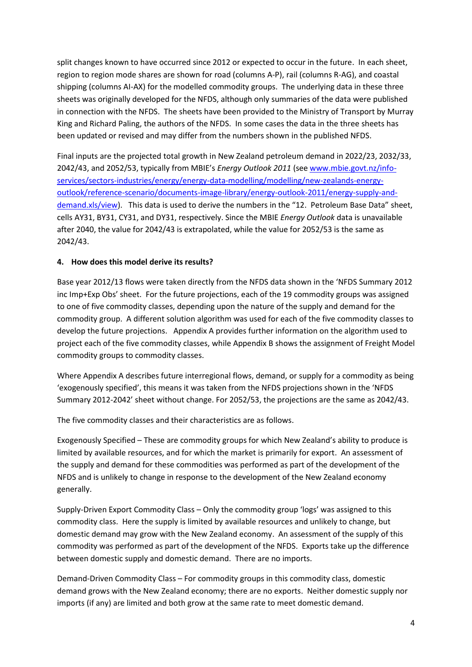split changes known to have occurred since 2012 or expected to occur in the future. In each sheet, region to region mode shares are shown for road (columns A-P), rail (columns R-AG), and coastal shipping (columns AI-AX) for the modelled commodity groups. The underlying data in these three sheets was originally developed for the NFDS, although only summaries of the data were published in connection with the NFDS. The sheets have been provided to the Ministry of Transport by Murray King and Richard Paling, the authors of the NFDS. In some cases the data in the three sheets has been updated or revised and may differ from the numbers shown in the published NFDS.

Final inputs are the projected total growth in New Zealand petroleum demand in 2022/23, 2032/33, 2042/43, and 2052/53, typically from MBIE's *Energy Outlook 2011* (se[e www.mbie.govt.nz/info](http://www.mbie.govt.nz/info-services/sectors-industries/energy/energy-data-modelling/modelling/new-zealands-energy-outlook/reference-scenario/documents-image-library/energy-outlook-2011/energy-supply-and-demand.xls/view)[services/sectors-industries/energy/energy-data-modelling/modelling/new-zealands-energy](http://www.mbie.govt.nz/info-services/sectors-industries/energy/energy-data-modelling/modelling/new-zealands-energy-outlook/reference-scenario/documents-image-library/energy-outlook-2011/energy-supply-and-demand.xls/view)[outlook/reference-scenario/documents-image-library/energy-outlook-2011/energy-supply-and](http://www.mbie.govt.nz/info-services/sectors-industries/energy/energy-data-modelling/modelling/new-zealands-energy-outlook/reference-scenario/documents-image-library/energy-outlook-2011/energy-supply-and-demand.xls/view)[demand.xls/view\)](http://www.mbie.govt.nz/info-services/sectors-industries/energy/energy-data-modelling/modelling/new-zealands-energy-outlook/reference-scenario/documents-image-library/energy-outlook-2011/energy-supply-and-demand.xls/view). This data is used to derive the numbers in the "12. Petroleum Base Data" sheet, cells AY31, BY31, CY31, and DY31, respectively. Since the MBIE *Energy Outlook* data is unavailable after 2040, the value for 2042/43 is extrapolated, while the value for 2052/53 is the same as 2042/43.

# **4. How does this model derive its results?**

Base year 2012/13 flows were taken directly from the NFDS data shown in the 'NFDS Summary 2012 inc Imp+Exp Obs' sheet. For the future projections, each of the 19 commodity groups was assigned to one of five commodity classes, depending upon the nature of the supply and demand for the commodity group. A different solution algorithm was used for each of the five commodity classes to develop the future projections. Appendix A provides further information on the algorithm used to project each of the five commodity classes, while Appendix B shows the assignment of Freight Model commodity groups to commodity classes.

Where Appendix A describes future interregional flows, demand, or supply for a commodity as being 'exogenously specified', this means it was taken from the NFDS projections shown in the 'NFDS Summary 2012-2042' sheet without change. For 2052/53, the projections are the same as 2042/43.

The five commodity classes and their characteristics are as follows.

Exogenously Specified – These are commodity groups for which New Zealand's ability to produce is limited by available resources, and for which the market is primarily for export. An assessment of the supply and demand for these commodities was performed as part of the development of the NFDS and is unlikely to change in response to the development of the New Zealand economy generally.

Supply-Driven Export Commodity Class – Only the commodity group 'logs' was assigned to this commodity class. Here the supply is limited by available resources and unlikely to change, but domestic demand may grow with the New Zealand economy. An assessment of the supply of this commodity was performed as part of the development of the NFDS. Exports take up the difference between domestic supply and domestic demand. There are no imports.

Demand-Driven Commodity Class – For commodity groups in this commodity class, domestic demand grows with the New Zealand economy; there are no exports. Neither domestic supply nor imports (if any) are limited and both grow at the same rate to meet domestic demand.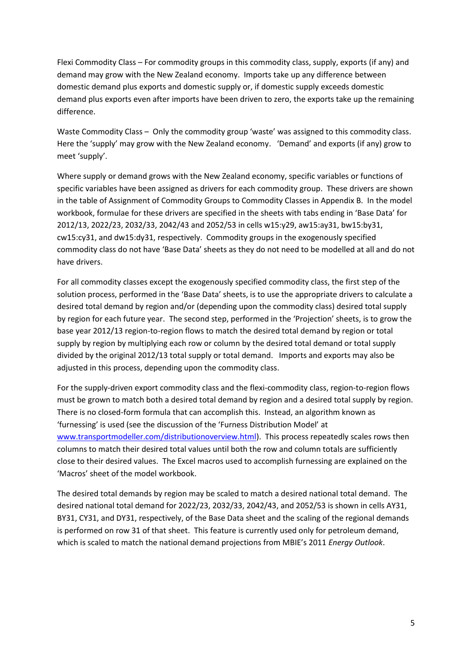Flexi Commodity Class – For commodity groups in this commodity class, supply, exports (if any) and demand may grow with the New Zealand economy. Imports take up any difference between domestic demand plus exports and domestic supply or, if domestic supply exceeds domestic demand plus exports even after imports have been driven to zero, the exports take up the remaining difference.

Waste Commodity Class – Only the commodity group 'waste' was assigned to this commodity class. Here the 'supply' may grow with the New Zealand economy. 'Demand' and exports (if any) grow to meet 'supply'.

Where supply or demand grows with the New Zealand economy, specific variables or functions of specific variables have been assigned as drivers for each commodity group. These drivers are shown in the table of Assignment of Commodity Groups to Commodity Classes in Appendix B. In the model workbook, formulae for these drivers are specified in the sheets with tabs ending in 'Base Data' for 2012/13, 2022/23, 2032/33, 2042/43 and 2052/53 in cells w15:y29, aw15:ay31, bw15:by31, cw15:cy31, and dw15:dy31, respectively. Commodity groups in the exogenously specified commodity class do not have 'Base Data' sheets as they do not need to be modelled at all and do not have drivers.

For all commodity classes except the exogenously specified commodity class, the first step of the solution process, performed in the 'Base Data' sheets, is to use the appropriate drivers to calculate a desired total demand by region and/or (depending upon the commodity class) desired total supply by region for each future year. The second step, performed in the 'Projection' sheets, is to grow the base year 2012/13 region-to-region flows to match the desired total demand by region or total supply by region by multiplying each row or column by the desired total demand or total supply divided by the original 2012/13 total supply or total demand. Imports and exports may also be adjusted in this process, depending upon the commodity class.

For the supply-driven export commodity class and the flexi-commodity class, region-to-region flows must be grown to match both a desired total demand by region and a desired total supply by region. There is no closed-form formula that can accomplish this. Instead, an algorithm known as 'furnessing' is used (see the discussion of the 'Furness Distribution Model' at [www.transportmodeller.com/distributionoverview.html\)](http://www.transportmodeller.com/distributionoverview.html). This process repeatedly scales rows then columns to match their desired total values until both the row and column totals are sufficiently close to their desired values. The Excel macros used to accomplish furnessing are explained on the 'Macros' sheet of the model workbook.

The desired total demands by region may be scaled to match a desired national total demand. The desired national total demand for 2022/23, 2032/33, 2042/43, and 2052/53 is shown in cells AY31, BY31, CY31, and DY31, respectively, of the Base Data sheet and the scaling of the regional demands is performed on row 31 of that sheet. This feature is currently used only for petroleum demand, which is scaled to match the national demand projections from MBIE's 2011 *Energy Outlook*.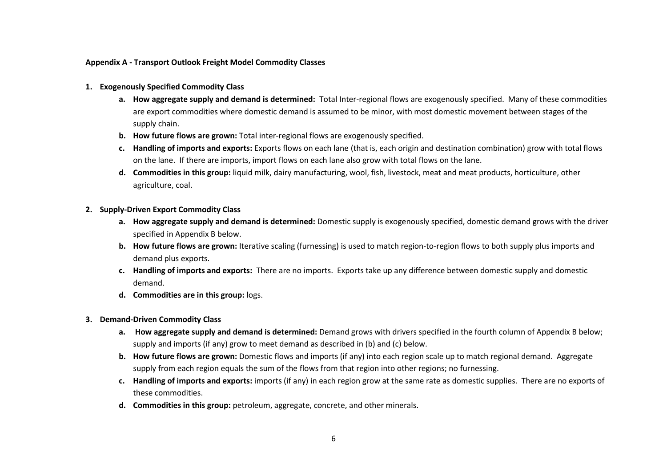#### **Appendix A - Transport Outlook Freight Model Commodity Classes**

- **1. Exogenously Specified Commodity Class**
	- **a. How aggregate supply and demand is determined:** Total Inter-regional flows are exogenously specified. Many of these commodities are export commodities where domestic demand is assumed to be minor, with most domestic movement between stages of the supply chain.
	- **b. How future flows are grown:** Total inter-regional flows are exogenously specified.
	- **c. Handling of imports and exports:** Exports flows on each lane (that is, each origin and destination combination) grow with total flows on the lane. If there are imports, import flows on each lane also grow with total flows on the lane.
	- **d. Commodities in this group:** liquid milk, dairy manufacturing, wool, fish, livestock, meat and meat products, horticulture, other agriculture, coal.

#### **2. Supply-Driven Export Commodity Class**

- **a. How aggregate supply and demand is determined:** Domestic supply is exogenously specified, domestic demand grows with the driver specified in Appendix B below.
- **b. How future flows are grown:** Iterative scaling (furnessing) is used to match region-to-region flows to both supply plus imports and demand plus exports.
- **c. Handling of imports and exports:** There are no imports. Exports take up any difference between domestic supply and domestic demand.
- **d. Commodities are in this group:** logs.

#### **3. Demand-Driven Commodity Class**

- **a. How aggregate supply and demand is determined:** Demand grows with drivers specified in the fourth column of Appendix B below; supply and imports (if any) grow to meet demand as described in (b) and (c) below.
- **b. How future flows are grown:** Domestic flows and imports (if any) into each region scale up to match regional demand. Aggregate supply from each region equals the sum of the flows from that region into other regions; no furnessing.
- **c. Handling of imports and exports:** imports (if any) in each region grow at the same rate as domestic supplies. There are no exports of these commodities.
- **d. Commodities in this group:** petroleum, aggregate, concrete, and other minerals.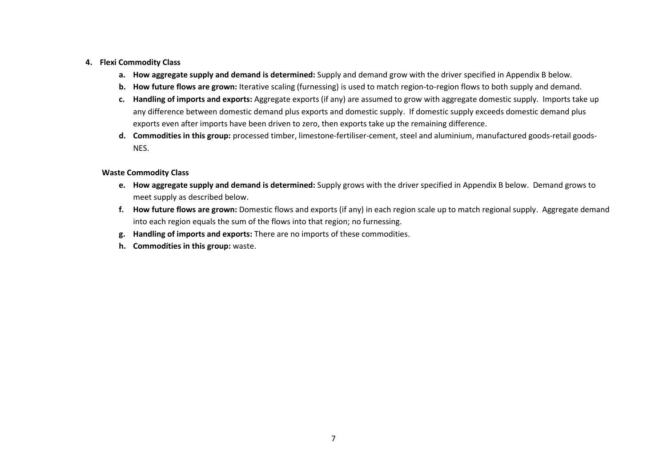#### **4. Flexi Commodity Class**

- **a. How aggregate supply and demand is determined:** Supply and demand grow with the driver specified in Appendix B below.
- **b. How future flows are grown:** Iterative scaling (furnessing) is used to match region-to-region flows to both supply and demand.
- **c. Handling of imports and exports:** Aggregate exports (if any) are assumed to grow with aggregate domestic supply. Imports take up any difference between domestic demand plus exports and domestic supply. If domestic supply exceeds domestic demand plus exports even after imports have been driven to zero, then exports take up the remaining difference.
- **d. Commodities in this group:** processed timber, limestone-fertiliser-cement, steel and aluminium, manufactured goods-retail goods-NES.

#### **Waste Commodity Class**

- **e. How aggregate supply and demand is determined:** Supply grows with the driver specified in Appendix B below. Demand grows to meet supply as described below.
- **f. How future flows are grown:** Domestic flows and exports (if any) in each region scale up to match regional supply. Aggregate demand into each region equals the sum of the flows into that region; no furnessing.
- **g. Handling of imports and exports:** There are no imports of these commodities.
- **h. Commodities in this group:** waste.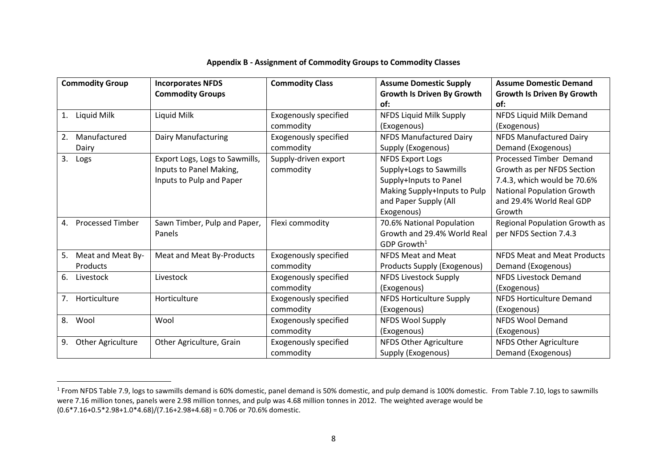| <b>Commodity Group</b>        | <b>Incorporates NFDS</b>       | <b>Commodity Class</b>       | <b>Assume Domestic Supply</b>     | <b>Assume Domestic Demand</b>      |
|-------------------------------|--------------------------------|------------------------------|-----------------------------------|------------------------------------|
|                               | <b>Commodity Groups</b>        |                              | <b>Growth Is Driven By Growth</b> | <b>Growth Is Driven By Growth</b>  |
|                               |                                |                              | of:                               | of:                                |
| Liquid Milk<br>1.             | Liquid Milk                    | <b>Exogenously specified</b> | NFDS Liquid Milk Supply           | NFDS Liquid Milk Demand            |
|                               |                                | commodity                    | (Exogenous)                       | (Exogenous)                        |
| Manufactured<br>2.            | Dairy Manufacturing            | <b>Exogenously specified</b> | <b>NFDS Manufactured Dairy</b>    | <b>NFDS Manufactured Dairy</b>     |
| Dairy                         |                                | commodity                    | Supply (Exogenous)                | Demand (Exogenous)                 |
| 3.<br>Logs                    | Export Logs, Logs to Sawmills, | Supply-driven export         | <b>NFDS Export Logs</b>           | Processed Timber Demand            |
|                               | Inputs to Panel Making,        | commodity                    | Supply+Logs to Sawmills           | Growth as per NFDS Section         |
|                               | Inputs to Pulp and Paper       |                              | Supply+Inputs to Panel            | 7.4.3, which would be 70.6%        |
|                               |                                |                              | Making Supply+Inputs to Pulp      | <b>National Population Growth</b>  |
|                               |                                |                              | and Paper Supply (All             | and 29.4% World Real GDP           |
|                               |                                |                              | Exogenous)                        | Growth                             |
| <b>Processed Timber</b><br>4. | Sawn Timber, Pulp and Paper,   | Flexi commodity              | 70.6% National Population         | Regional Population Growth as      |
|                               | Panels                         |                              | Growth and 29.4% World Real       | per NFDS Section 7.4.3             |
|                               |                                |                              | $GDP$ Growth <sup>1</sup>         |                                    |
| 5.<br>Meat and Meat By-       | Meat and Meat By-Products      | <b>Exogenously specified</b> | <b>NFDS Meat and Meat</b>         | <b>NFDS Meat and Meat Products</b> |
| Products                      |                                | commodity                    | Products Supply (Exogenous)       | Demand (Exogenous)                 |
| 6.<br>Livestock               | Livestock                      | <b>Exogenously specified</b> | <b>NFDS Livestock Supply</b>      | <b>NFDS Livestock Demand</b>       |
|                               |                                | commodity                    | (Exogenous)                       | (Exogenous)                        |
| Horticulture<br>7.            | Horticulture                   | <b>Exogenously specified</b> | <b>NFDS Horticulture Supply</b>   | <b>NFDS Horticulture Demand</b>    |
|                               |                                | commodity                    | (Exogenous)                       | (Exogenous)                        |
| 8.<br>Wool                    | Wool                           | <b>Exogenously specified</b> | <b>NFDS Wool Supply</b>           | <b>NFDS Wool Demand</b>            |
|                               |                                | commodity                    | (Exogenous)                       | (Exogenous)                        |
| 9.<br>Other Agriculture       | Other Agriculture, Grain       | <b>Exogenously specified</b> | NFDS Other Agriculture            | NFDS Other Agriculture             |
|                               |                                | commodity                    | Supply (Exogenous)                | Demand (Exogenous)                 |

## **Appendix B - Assignment of Commodity Groups to Commodity Classes**

 $\overline{a}$ 

 $^{1}$  From NFDS Table 7.9, logs to sawmills demand is 60% domestic, panel demand is 50% domestic, and pulp demand is 100% domestic. From Table 7.10, logs to sawmills were 7.16 million tones, panels were 2.98 million tonnes, and pulp was 4.68 million tonnes in 2012. The weighted average would be  $(0.6*7.16+0.5*2.98+1.0*4.68)/(7.16+2.98+4.68) = 0.706$  or 70.6% domestic.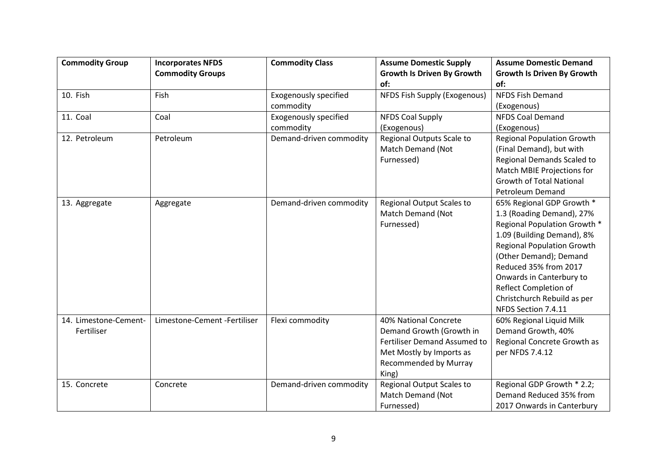| <b>Commodity Group</b> | <b>Incorporates NFDS</b>     | <b>Commodity Class</b>       | <b>Assume Domestic Supply</b>       | <b>Assume Domestic Demand</b>     |
|------------------------|------------------------------|------------------------------|-------------------------------------|-----------------------------------|
|                        | <b>Commodity Groups</b>      |                              | <b>Growth Is Driven By Growth</b>   | <b>Growth Is Driven By Growth</b> |
|                        |                              |                              | of:                                 | of:                               |
| 10. Fish               | Fish                         | <b>Exogenously specified</b> | NFDS Fish Supply (Exogenous)        | <b>NFDS Fish Demand</b>           |
|                        |                              | commodity                    |                                     | (Exogenous)                       |
| 11. Coal               | Coal                         | <b>Exogenously specified</b> | <b>NFDS Coal Supply</b>             | <b>NFDS Coal Demand</b>           |
|                        |                              | commodity                    | (Exogenous)                         | (Exogenous)                       |
| 12. Petroleum          | Petroleum                    | Demand-driven commodity      | Regional Outputs Scale to           | <b>Regional Population Growth</b> |
|                        |                              |                              | Match Demand (Not                   | (Final Demand), but with          |
|                        |                              |                              | Furnessed)                          | Regional Demands Scaled to        |
|                        |                              |                              |                                     | Match MBIE Projections for        |
|                        |                              |                              |                                     | <b>Growth of Total National</b>   |
|                        |                              |                              |                                     | <b>Petroleum Demand</b>           |
| 13. Aggregate          | Aggregate                    | Demand-driven commodity      | <b>Regional Output Scales to</b>    | 65% Regional GDP Growth *         |
|                        |                              |                              | Match Demand (Not                   | 1.3 (Roading Demand), 27%         |
|                        |                              |                              | Furnessed)                          | Regional Population Growth *      |
|                        |                              |                              |                                     | 1.09 (Building Demand), 8%        |
|                        |                              |                              |                                     | <b>Regional Population Growth</b> |
|                        |                              |                              |                                     | (Other Demand); Demand            |
|                        |                              |                              |                                     | Reduced 35% from 2017             |
|                        |                              |                              |                                     | Onwards in Canterbury to          |
|                        |                              |                              |                                     | Reflect Completion of             |
|                        |                              |                              |                                     | Christchurch Rebuild as per       |
|                        |                              |                              |                                     | NFDS Section 7.4.11               |
| 14. Limestone-Cement-  | Limestone-Cement -Fertiliser | Flexi commodity              | 40% National Concrete               | 60% Regional Liquid Milk          |
| Fertiliser             |                              |                              | Demand Growth (Growth in            | Demand Growth, 40%                |
|                        |                              |                              | <b>Fertiliser Demand Assumed to</b> | Regional Concrete Growth as       |
|                        |                              |                              | Met Mostly by Imports as            | per NFDS 7.4.12                   |
|                        |                              |                              | <b>Recommended by Murray</b>        |                                   |
|                        |                              |                              | King)                               |                                   |
| 15. Concrete           | Concrete                     | Demand-driven commodity      | <b>Regional Output Scales to</b>    | Regional GDP Growth * 2.2;        |
|                        |                              |                              | Match Demand (Not                   | Demand Reduced 35% from           |
|                        |                              |                              | Furnessed)                          | 2017 Onwards in Canterbury        |